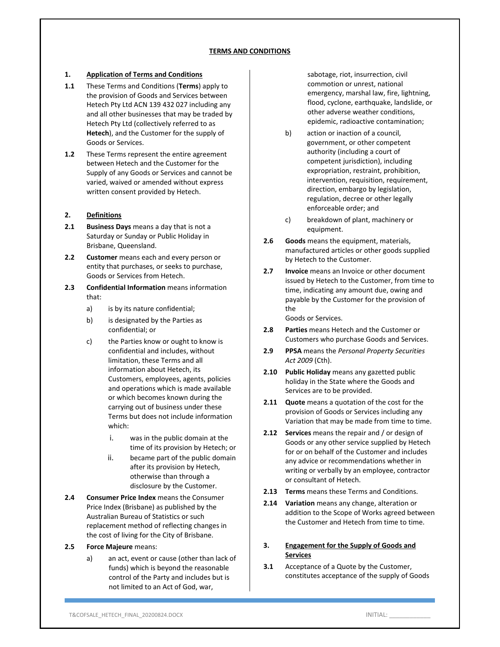### **1. Application of Terms and Conditions**

- **1.1** These Terms and Conditions (**Terms**) apply to the provision of Goods and Services between Hetech Pty Ltd ACN 139 432 027 including any and all other businesses that may be traded by Hetech Pty Ltd (collectively referred to as **Hetech**), and the Customer for the supply of Goods or Services.
- **1.2** These Terms represent the entire agreement between Hetech and the Customer for the Supply of any Goods or Services and cannot be varied, waived or amended without express written consent provided by Hetech.

### **2. Definitions**

- **2.1 Business Days** means a day that is not a Saturday or Sunday or Public Holiday in Brisbane, Queensland.
- **2.2 Customer** means each and every person or entity that purchases, or seeks to purchase, Goods or Services from Hetech.
- **2.3 Confidential Information** means information that:
	- a) is by its nature confidential;
	- b) is designated by the Parties as confidential; or
	- c) the Parties know or ought to know is confidential and includes, without limitation, these Terms and all information about Hetech, its Customers, employees, agents, policies and operations which is made available or which becomes known during the carrying out of business under these Terms but does not include information which:
		- i. was in the public domain at the time of its provision by Hetech; or
		- ii. became part of the public domain after its provision by Hetech, otherwise than through a disclosure by the Customer.
- **2.4 Consumer Price Index** means the Consumer Price Index (Brisbane) as published by the Australian Bureau of Statistics or such replacement method of reflecting changes in the cost of living for the City of Brisbane.

### **2.5 Force Majeure** means:

a) an act, event or cause (other than lack of funds) which is beyond the reasonable control of the Party and includes but is not limited to an Act of God, war,

sabotage, riot, insurrection, civil commotion or unrest, national emergency, marshal law, fire, lightning, flood, cyclone, earthquake, landslide, or other adverse weather conditions, epidemic, radioactive contamination;

- b) action or inaction of a council, government, or other competent authority (including a court of competent jurisdiction), including expropriation, restraint, prohibition, intervention, requisition, requirement, direction, embargo by legislation, regulation, decree or other legally enforceable order; and
- c) breakdown of plant, machinery or equipment.
- **2.6 Goods** means the equipment, materials, manufactured articles or other goods supplied by Hetech to the Customer.
- **2.7 Invoice** means an Invoice or other document issued by Hetech to the Customer, from time to time, indicating any amount due, owing and payable by the Customer for the provision of the

Goods or Services.

- **2.8 Parties** means Hetech and the Customer or Customers who purchase Goods and Services.
- **2.9 PPSA** means the *Personal Property Securities Act 2009* (Cth).
- **2.10 Public Holiday** means any gazetted public holiday in the State where the Goods and Services are to be provided.
- **2.11 Quote** means a quotation of the cost for the provision of Goods or Services including any Variation that may be made from time to time.
- **2.12 Services** means the repair and / or design of Goods or any other service supplied by Hetech for or on behalf of the Customer and includes any advice or recommendations whether in writing or verbally by an employee, contractor or consultant of Hetech.
- **2.13 Terms** means these Terms and Conditions.
- **2.14 Variation** means any change, alteration or addition to the Scope of Works agreed between the Customer and Hetech from time to time.

### **3. Engagement for the Supply of Goods and Services**

**3.1** Acceptance of a Quote by the Customer, constitutes acceptance of the supply of Goods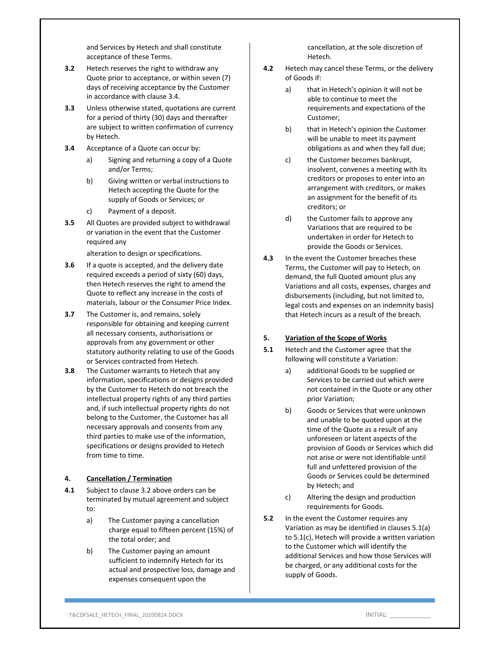and Services by Hetech and shall constitute acceptance of these Terms.

- **3.2** Hetech reserves the right to withdraw any Quote prior to acceptance, or within seven (7) days of receiving acceptance by the Customer in accordance with clause 3.4.
- **3.3** Unless otherwise stated, quotations are current for a period of thirty (30) days and thereafter are subject to written confirmation of currency by Hetech.
- **3.4** Acceptance of a Quote can occur by:
	- a) Signing and returning a copy of a Quote and/or Terms;
	- b) Giving written or verbal instructions to Hetech accepting the Quote for the supply of Goods or Services; or
	- c) Payment of a deposit.
- **3.5** All Quotes are provided subject to withdrawal or variation in the event that the Customer required any

alteration to design or specifications.

- **3.6** If a quote is accepted, and the delivery date required exceeds a period of sixty (60) days, then Hetech reserves the right to amend the Quote to reflect any increase in the costs of materials, labour or the Consumer Price Index.
- **3.7** The Customer is, and remains, solely responsible for obtaining and keeping current all necessary consents, authorisations or approvals from any government or other statutory authority relating to use of the Goods or Services contracted from Hetech.
- **3.8** The Customer warrants to Hetech that any information, specifications or designs provided by the Customer to Hetech do not breach the intellectual property rights of any third parties and, if such intellectual property rights do not belong to the Customer, the Customer has all necessary approvals and consents from any third parties to make use of the information, specifications or designs provided to Hetech from time to time.

# **4. Cancellation / Termination**

- **4.1** Subject to clause 3.2 above orders can be terminated by mutual agreement and subject to:
	- a) The Customer paying a cancellation charge equal to fifteen percent (15%) of the total order; and
	- b) The Customer paying an amount sufficient to indemnify Hetech for its actual and prospective loss, damage and expenses consequent upon the

cancellation, at the sole discretion of Hetech.

- **4.2** Hetech may cancel these Terms, or the delivery of Goods if:
	- a) that in Hetech's opinion it will not be able to continue to meet the requirements and expectations of the Customer;
	- b) that in Hetech's opinion the Customer will be unable to meet its payment obligations as and when they fall due;
	- c) the Customer becomes bankrupt, insolvent, convenes a meeting with its creditors or proposes to enter into an arrangement with creditors, or makes an assignment for the benefit of its creditors; or
	- d) the Customer fails to approve any Variations that are required to be undertaken in order for Hetech to provide the Goods or Services.
- **4.3** In the event the Customer breaches these Terms, the Customer will pay to Hetech, on demand, the full Quoted amount plus any Variations and all costs, expenses, charges and disbursements (including, but not limited to, legal costs and expenses on an indemnity basis) that Hetech incurs as a result of the breach.

### **5. Variation of the Scope of Works**

- **5.1** Hetech and the Customer agree that the following will constitute a Variation:
	- a) additional Goods to be supplied or Services to be carried out which were not contained in the Quote or any other prior Variation;
	- b) Goods or Services that were unknown and unable to be quoted upon at the time of the Quote as a result of any unforeseen or latent aspects of the provision of Goods or Services which did not arise or were not identifiable until full and unfettered provision of the Goods or Services could be determined by Hetech; and
	- c) Altering the design and production requirements for Goods.
- **5.2** In the event the Customer requires any Variation as may be identified in clauses 5.1(a) to 5.1(c), Hetech will provide a written variation to the Customer which will identify the additional Services and how those Services will be charged, or any additional costs for the supply of Goods.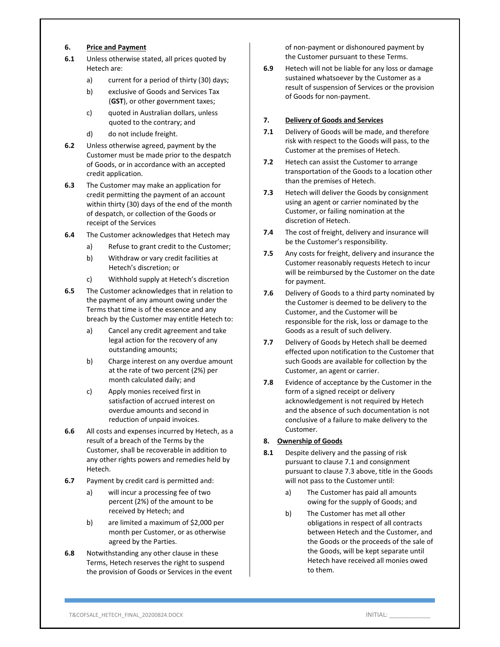### **6. Price and Payment**

- **6.1** Unless otherwise stated, all prices quoted by Hetech are:
	- a) current for a period of thirty (30) days;
	- b) exclusive of Goods and Services Tax (**GST**), or other government taxes;
	- c) quoted in Australian dollars, unless quoted to the contrary; and
	- d) do not include freight.
- **6.2** Unless otherwise agreed, payment by the Customer must be made prior to the despatch of Goods, or in accordance with an accepted credit application.
- **6.3** The Customer may make an application for credit permitting the payment of an account within thirty (30) days of the end of the month of despatch, or collection of the Goods or receipt of the Services
- **6.4** The Customer acknowledges that Hetech may
	- a) Refuse to grant credit to the Customer;
	- b) Withdraw or vary credit facilities at Hetech's discretion; or
	- c) Withhold supply at Hetech's discretion
- **6.5** The Customer acknowledges that in relation to the payment of any amount owing under the Terms that time is of the essence and any breach by the Customer may entitle Hetech to:
	- a) Cancel any credit agreement and take legal action for the recovery of any outstanding amounts;
	- b) Charge interest on any overdue amount at the rate of two percent (2%) per month calculated daily; and
	- c) Apply monies received first in satisfaction of accrued interest on overdue amounts and second in reduction of unpaid invoices.
- **6.6** All costs and expenses incurred by Hetech, as a result of a breach of the Terms by the Customer, shall be recoverable in addition to any other rights powers and remedies held by Hetech.
- **6.7** Payment by credit card is permitted and:
	- a) will incur a processing fee of two percent (2%) of the amount to be received by Hetech; and
	- b) are limited a maximum of \$2,000 per month per Customer, or as otherwise agreed by the Parties.
- **6.8** Notwithstanding any other clause in these Terms, Hetech reserves the right to suspend the provision of Goods or Services in the event

of non‐payment or dishonoured payment by the Customer pursuant to these Terms.

**6.9** Hetech will not be liable for any loss or damage sustained whatsoever by the Customer as a result of suspension of Services or the provision of Goods for non‐payment.

## **7. Delivery of Goods and Services**

- **7.1** Delivery of Goods will be made, and therefore risk with respect to the Goods will pass, to the Customer at the premises of Hetech.
- **7.2** Hetech can assist the Customer to arrange transportation of the Goods to a location other than the premises of Hetech.
- **7.3** Hetech will deliver the Goods by consignment using an agent or carrier nominated by the Customer, or failing nomination at the discretion of Hetech.
- **7.4** The cost of freight, delivery and insurance will be the Customer's responsibility.
- **7.5** Any costs for freight, delivery and insurance the Customer reasonably requests Hetech to incur will be reimbursed by the Customer on the date for payment.
- **7.6** Delivery of Goods to a third party nominated by the Customer is deemed to be delivery to the Customer, and the Customer will be responsible for the risk, loss or damage to the Goods as a result of such delivery.
- **7.7** Delivery of Goods by Hetech shall be deemed effected upon notification to the Customer that such Goods are available for collection by the Customer, an agent or carrier.
- **7.8** Evidence of acceptance by the Customer in the form of a signed receipt or delivery acknowledgement is not required by Hetech and the absence of such documentation is not conclusive of a failure to make delivery to the Customer.

### **8. Ownership of Goods**

- **8.1** Despite delivery and the passing of risk pursuant to clause 7.1 and consignment pursuant to clause 7.3 above, title in the Goods will not pass to the Customer until:
	- a) The Customer has paid all amounts owing for the supply of Goods; and
	- b) The Customer has met all other obligations in respect of all contracts between Hetech and the Customer, and the Goods or the proceeds of the sale of the Goods, will be kept separate until Hetech have received all monies owed to them.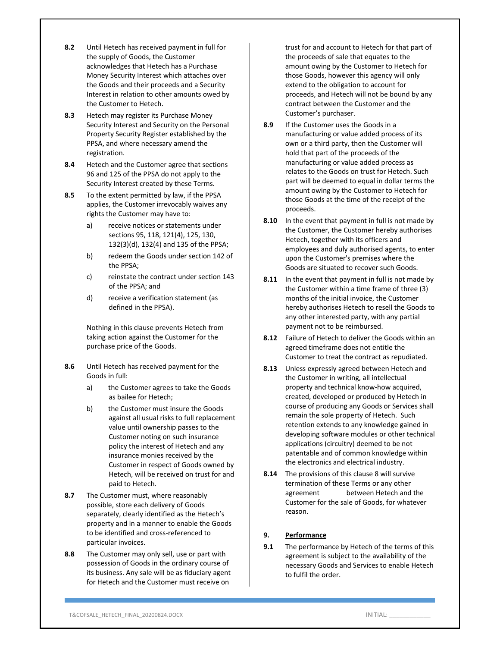- **8.2** Until Hetech has received payment in full for the supply of Goods, the Customer acknowledges that Hetech has a Purchase Money Security Interest which attaches over the Goods and their proceeds and a Security Interest in relation to other amounts owed by the Customer to Hetech.
- **8.3** Hetech may register its Purchase Money Security Interest and Security on the Personal Property Security Register established by the PPSA, and where necessary amend the registration.
- **8.4** Hetech and the Customer agree that sections 96 and 125 of the PPSA do not apply to the Security Interest created by these Terms.
- **8.5** To the extent permitted by law, if the PPSA applies, the Customer irrevocably waives any rights the Customer may have to:
	- a) receive notices or statements under sections 95, 118, 121(4), 125, 130, 132(3)(d), 132(4) and 135 of the PPSA;
	- b) redeem the Goods under section 142 of the PPSA;
	- c) reinstate the contract under section 143 of the PPSA; and
	- d) receive a verification statement (as defined in the PPSA).

Nothing in this clause prevents Hetech from taking action against the Customer for the purchase price of the Goods.

- **8.6** Until Hetech has received payment for the Goods in full:
	- a) the Customer agrees to take the Goods as bailee for Hetech;
	- b) the Customer must insure the Goods against all usual risks to full replacement value until ownership passes to the Customer noting on such insurance policy the interest of Hetech and any insurance monies received by the Customer in respect of Goods owned by Hetech, will be received on trust for and paid to Hetech.
- **8.7** The Customer must, where reasonably possible, store each delivery of Goods separately, clearly identified as the Hetech's property and in a manner to enable the Goods to be identified and cross‐referenced to particular invoices.
- **8.8** The Customer may only sell, use or part with possession of Goods in the ordinary course of its business. Any sale will be as fiduciary agent for Hetech and the Customer must receive on

trust for and account to Hetech for that part of the proceeds of sale that equates to the amount owing by the Customer to Hetech for those Goods, however this agency will only extend to the obligation to account for proceeds, and Hetech will not be bound by any contract between the Customer and the Customer's purchaser.

- **8.9** If the Customer uses the Goods in a manufacturing or value added process of its own or a third party, then the Customer will hold that part of the proceeds of the manufacturing or value added process as relates to the Goods on trust for Hetech. Such part will be deemed to equal in dollar terms the amount owing by the Customer to Hetech for those Goods at the time of the receipt of the proceeds.
- **8.10** In the event that payment in full is not made by the Customer, the Customer hereby authorises Hetech, together with its officers and employees and duly authorised agents, to enter upon the Customer's premises where the Goods are situated to recover such Goods.
- **8.11** In the event that payment in full is not made by the Customer within a time frame of three (3) months of the initial invoice, the Customer hereby authorises Hetech to resell the Goods to any other interested party, with any partial payment not to be reimbursed.
- **8.12** Failure of Hetech to deliver the Goods within an agreed timeframe does not entitle the Customer to treat the contract as repudiated.
- **8.13** Unless expressly agreed between Hetech and the Customer in writing, all intellectual property and technical know‐how acquired, created, developed or produced by Hetech in course of producing any Goods or Services shall remain the sole property of Hetech. Such retention extends to any knowledge gained in developing software modules or other technical applications (circuitry) deemed to be not patentable and of common knowledge within the electronics and electrical industry.
- **8.14** The provisions of this clause 8 will survive termination of these Terms or any other agreement between Hetech and the Customer for the sale of Goods, for whatever reason.

# **9. Performance**

**9.1** The performance by Hetech of the terms of this agreement is subject to the availability of the necessary Goods and Services to enable Hetech to fulfil the order.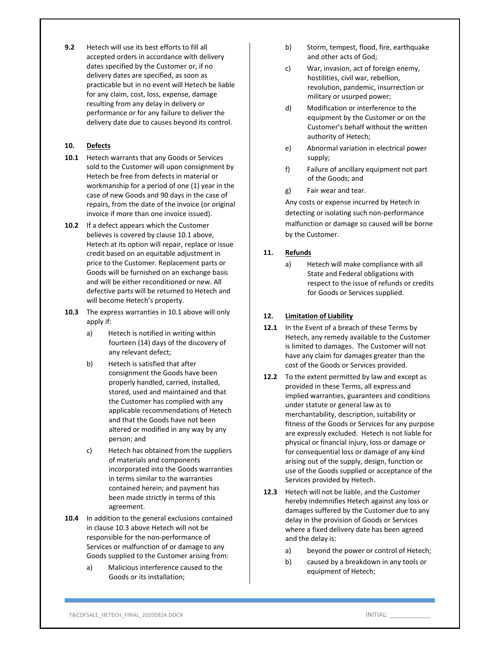**9.2** Hetech will use its best efforts to fill all accepted orders in accordance with delivery dates specified by the Customer or, if no delivery dates are specified, as soon as practicable but in no event will Hetech be liable for any claim, cost, loss, expense, damage resulting from any delay in delivery or performance or for any failure to deliver the delivery date due to causes beyond its control.

# **10. Defects**

- **10.1** Hetech warrants that any Goods or Services sold to the Customer will upon consignment by Hetech be free from defects in material or workmanship for a period of one (1) year in the case of new Goods and 90 days in the case of repairs, from the date of the invoice (or original invoice if more than one invoice issued).
- **10.2** If a defect appears which the Customer believes is covered by clause 10.1 above, Hetech at its option will repair, replace or issue credit based on an equitable adjustment in price to the Customer. Replacement parts or Goods will be furnished on an exchange basis and will be either reconditioned or new. All defective parts will be returned to Hetech and will become Hetech's property.
- **10.3** The express warranties in 10.1 above will only apply if:
	- a) Hetech is notified in writing within fourteen (14) days of the discovery of any relevant defect;
	- b) Hetech is satisfied that after consignment the Goods have been properly handled, carried, installed, stored, used and maintained and that the Customer has complied with any applicable recommendations of Hetech and that the Goods have not been altered or modified in any way by any person; and
	- c) Hetech has obtained from the suppliers of materials and components incorporated into the Goods warranties in terms similar to the warranties contained herein; and payment has been made strictly in terms of this agreement.
- **10.4** In addition to the general exclusions contained in clause 10.3 above Hetech will not be responsible for the non‐performance of Services or malfunction of or damage to any Goods supplied to the Customer arising from:
	- a) Malicious interference caused to the Goods or its installation;
- b) Storm, tempest, flood, fire, earthquake and other acts of God;
- c) War, invasion, act of foreign enemy, hostilities, civil war, rebellion, revolution, pandemic, insurrection or military or usurped power;
- d) Modification or interference to the equipment by the Customer or on the Customer's behalf without the written authority of Hetech;
- e) Abnormal variation in electrical power supply;
- f) Failure of ancillary equipment not part of the Goods; and
- g) Fair wear and tear.

Any costs or expense incurred by Hetech in detecting or isolating such non‐performance malfunction or damage so caused will be borne by the Customer.

# **11. Refunds**

a) Hetech will make compliance with all State and Federal obligations with respect to the issue of refunds or credits for Goods or Services supplied.

# **12. Limitation of Liability**

- **12.1** In the Event of a breach of these Terms by Hetech, any remedy available to the Customer is limited to damages. The Customer will not have any claim for damages greater than the cost of the Goods or Services provided.
- **12.2** To the extent permitted by law and except as provided in these Terms, all express and implied warranties, guarantees and conditions under statute or general law as to merchantability, description, suitability or fitness of the Goods or Services for any purpose are expressly excluded. Hetech is not liable for physical or financial injury, loss or damage or for consequential loss or damage of any kind arising out of the supply, design, function or use of the Goods supplied or acceptance of the Services provided by Hetech.
- **12.3** Hetech will not be liable, and the Customer hereby indemnifies Hetech against any loss or damages suffered by the Customer due to any delay in the provision of Goods or Services where a fixed delivery date has been agreed and the delay is:
	- a) beyond the power or control of Hetech;
	- b) caused by a breakdown in any tools or equipment of Hetech;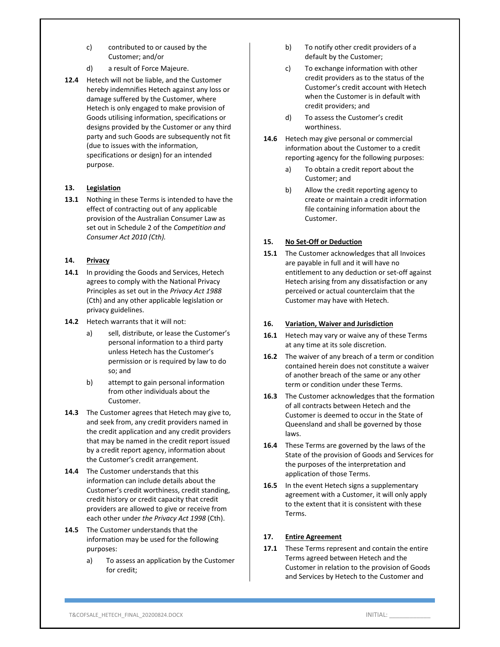- c) contributed to or caused by the Customer; and/or
- d) a result of Force Majeure.
- **12.4** Hetech will not be liable, and the Customer hereby indemnifies Hetech against any loss or damage suffered by the Customer, where Hetech is only engaged to make provision of Goods utilising information, specifications or designs provided by the Customer or any third party and such Goods are subsequently not fit (due to issues with the information, specifications or design) for an intended purpose.

# **13. Legislation**

**13.1** Nothing in these Terms is intended to have the effect of contracting out of any applicable provision of the Australian Consumer Law as set out in Schedule 2 of the *Competition and Consumer Act 2010 (Cth).*

### **14. Privacy**

- **14.1** In providing the Goods and Services, Hetech agrees to comply with the National Privacy Principles as set out in the *Privacy Act 1988* (Cth) and any other applicable legislation or privacy guidelines.
- **14.2** Hetech warrants that it will not:
	- a) sell, distribute, or lease the Customer's personal information to a third party unless Hetech has the Customer's permission or is required by law to do so; and
	- b) attempt to gain personal information from other individuals about the Customer.
- **14.3** The Customer agrees that Hetech may give to, and seek from, any credit providers named in the credit application and any credit providers that may be named in the credit report issued by a credit report agency, information about the Customer's credit arrangement.
- **14.4** The Customer understands that this information can include details about the Customer's credit worthiness, credit standing, credit history or credit capacity that credit providers are allowed to give or receive from each other under *the Privacy Act 1998* (Cth).
- **14.5** The Customer understands that the information may be used for the following purposes:
	- a) To assess an application by the Customer for credit;
- b) To notify other credit providers of a default by the Customer;
- c) To exchange information with other credit providers as to the status of the Customer's credit account with Hetech when the Customer is in default with credit providers; and
- d) To assess the Customer's credit worthiness.
- **14.6** Hetech may give personal or commercial information about the Customer to a credit reporting agency for the following purposes:
	- a) To obtain a credit report about the Customer; and
	- b) Allow the credit reporting agency to create or maintain a credit information file containing information about the Customer.

# **15. No Set‐Off or Deduction**

**15.1** The Customer acknowledges that all Invoices are payable in full and it will have no entitlement to any deduction or set‐off against Hetech arising from any dissatisfaction or any perceived or actual counterclaim that the Customer may have with Hetech.

### **16. Variation, Waiver and Jurisdiction**

- **16.1** Hetech may vary or waive any of these Terms at any time at its sole discretion.
- **16.2** The waiver of any breach of a term or condition contained herein does not constitute a waiver of another breach of the same or any other term or condition under these Terms.
- **16.3** The Customer acknowledges that the formation of all contracts between Hetech and the Customer is deemed to occur in the State of Queensland and shall be governed by those laws.
- **16.4** These Terms are governed by the laws of the State of the provision of Goods and Services for the purposes of the interpretation and application of those Terms.
- **16.5** In the event Hetech signs a supplementary agreement with a Customer, it will only apply to the extent that it is consistent with these Terms.

# **17. Entire Agreement**

**17.1** These Terms represent and contain the entire Terms agreed between Hetech and the Customer in relation to the provision of Goods and Services by Hetech to the Customer and